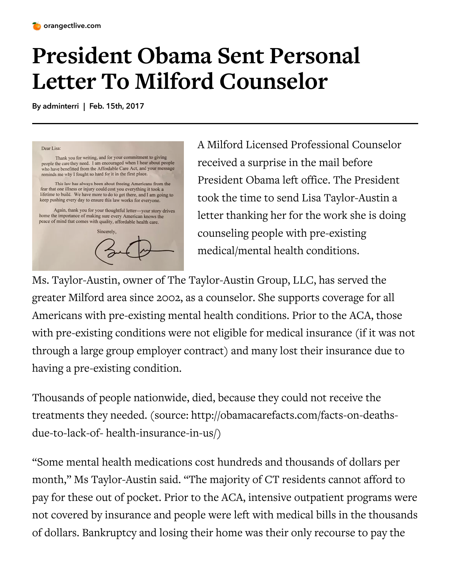

## **President Obama Sent Personal Letter To Milford Counselor**

By adminterri | Feb. 15th, 2017



A Milford Licensed Professional Counselor [r](https://i1.wp.com/orangectlive.com/wp-content/uploads/2017/02/Screen-Shot-2017-02-15-at-1.10.39-AM.png)eceived a surprise in the mail before President Obama left office. The President took the time to send Lisa Taylor-Austin a letter thanking her for the work she is doing counseling people with pre-existing medical/mental health conditions.

Ms. Taylor-Austin, owner of The Taylor-Austin Group, LLC, has served the greater Milford area since 2002, as a counselor. She supports coverage for all Americans with pre-existing mental health conditions. Prior to the ACA, those with pre-existing conditions were not eligible for medical insurance (if it was not through a large group employer contract) and many lost their insurance due to having a pre-existing condition.

Thousands of people nationwide, died, because they could not receive the treatments they needed. (source: http://obamacarefacts.com/facts-on-deathsdue-to-lack-of- health-insurance-in-us/)

"Some mental health medications cost hundreds and thousands of dollars per month," Ms Taylor-Austin said. "The majority of CT residents cannot afford to pay for these out of pocket. Prior to the ACA, intensive outpatient programs were not covered by insurance and people were left with medical bills in the thousands of dollars. Bankruptcy and losing their home was their only recourse to pay the